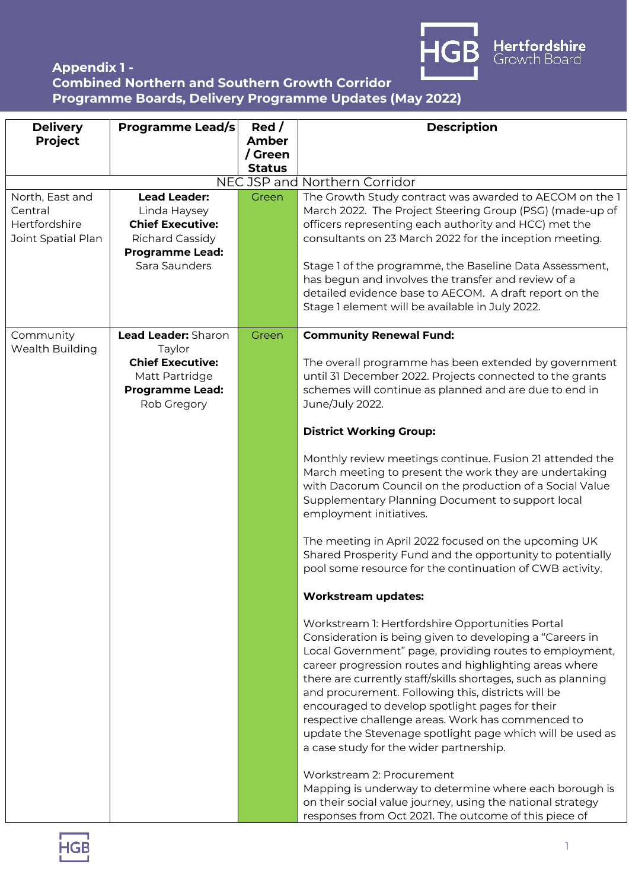

## **Appendix 1 - Combined Northern and Southern Growth Corridor Programme Boards, Delivery Programme Updates (May 2022)**

| <b>Delivery</b>    | <b>Programme Lead/s</b> | Red/                     | <b>Description</b>                                           |
|--------------------|-------------------------|--------------------------|--------------------------------------------------------------|
| <b>Project</b>     |                         | <b>Amber</b>             |                                                              |
|                    |                         | / Green<br><b>Status</b> |                                                              |
|                    |                         |                          | NEC JSP and Northern Corridor                                |
| North, East and    | <b>Lead Leader:</b>     | Green                    | The Growth Study contract was awarded to AECOM on the 1      |
| Central            | Linda Haysey            |                          | March 2022. The Project Steering Group (PSG) (made-up of     |
| Hertfordshire      | <b>Chief Executive:</b> |                          | officers representing each authority and HCC) met the        |
| Joint Spatial Plan | Richard Cassidy         |                          | consultants on 23 March 2022 for the inception meeting.      |
|                    | <b>Programme Lead:</b>  |                          |                                                              |
|                    | Sara Saunders           |                          | Stage 1 of the programme, the Baseline Data Assessment,      |
|                    |                         |                          | has begun and involves the transfer and review of a          |
|                    |                         |                          | detailed evidence base to AECOM. A draft report on the       |
|                    |                         |                          | Stage 1 element will be available in July 2022.              |
| Community          | Lead Leader: Sharon     | Green                    | <b>Community Renewal Fund:</b>                               |
| Wealth Building    | Taylor                  |                          |                                                              |
|                    | <b>Chief Executive:</b> |                          | The overall programme has been extended by government        |
|                    | Matt Partridge          |                          | until 31 December 2022. Projects connected to the grants     |
|                    | <b>Programme Lead:</b>  |                          | schemes will continue as planned and are due to end in       |
|                    | Rob Gregory             |                          | June/July 2022.                                              |
|                    |                         |                          |                                                              |
|                    |                         |                          | <b>District Working Group:</b>                               |
|                    |                         |                          | Monthly review meetings continue. Fusion 21 attended the     |
|                    |                         |                          | March meeting to present the work they are undertaking       |
|                    |                         |                          | with Dacorum Council on the production of a Social Value     |
|                    |                         |                          | Supplementary Planning Document to support local             |
|                    |                         |                          | employment initiatives.                                      |
|                    |                         |                          |                                                              |
|                    |                         |                          | The meeting in April 2022 focused on the upcoming UK         |
|                    |                         |                          | Shared Prosperity Fund and the opportunity to potentially    |
|                    |                         |                          | pool some resource for the continuation of CWB activity.     |
|                    |                         |                          | <b>Workstream updates:</b>                                   |
|                    |                         |                          | Workstream 1: Hertfordshire Opportunities Portal             |
|                    |                         |                          | Consideration is being given to developing a "Careers in     |
|                    |                         |                          | Local Government" page, providing routes to employment,      |
|                    |                         |                          | career progression routes and highlighting areas where       |
|                    |                         |                          | there are currently staff/skills shortages, such as planning |
|                    |                         |                          | and procurement. Following this, districts will be           |
|                    |                         |                          | encouraged to develop spotlight pages for their              |
|                    |                         |                          | respective challenge areas. Work has commenced to            |
|                    |                         |                          | update the Stevenage spotlight page which will be used as    |
|                    |                         |                          | a case study for the wider partnership.                      |
|                    |                         |                          | Workstream 2: Procurement                                    |
|                    |                         |                          | Mapping is underway to determine where each borough is       |
|                    |                         |                          | on their social value journey, using the national strategy   |
|                    |                         |                          | responses from Oct 2021. The outcome of this piece of        |

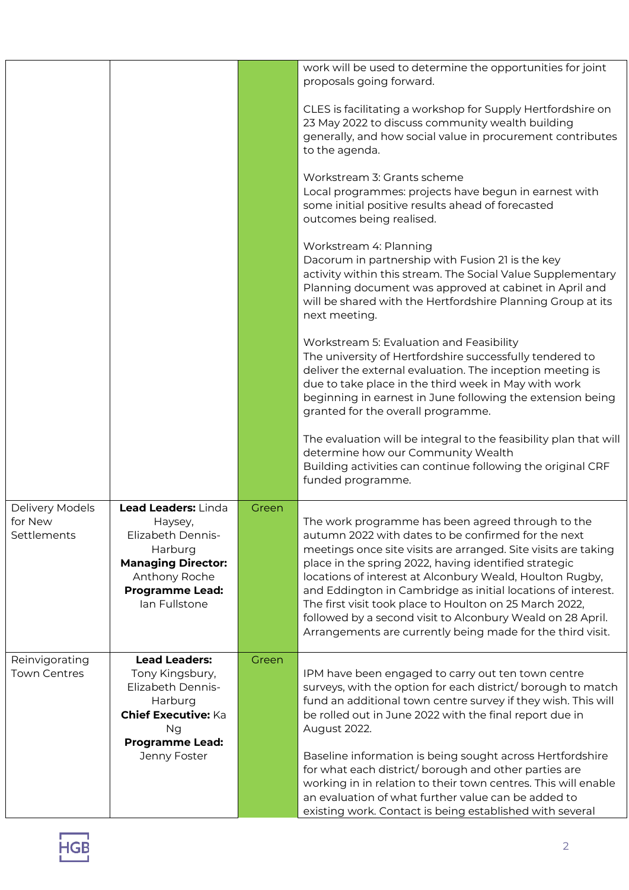|                                           |                                                                                                                                                         |       | work will be used to determine the opportunities for joint<br>proposals going forward.                                                                                                                                                                                                                                                                                                                                                                                                                                                                 |
|-------------------------------------------|---------------------------------------------------------------------------------------------------------------------------------------------------------|-------|--------------------------------------------------------------------------------------------------------------------------------------------------------------------------------------------------------------------------------------------------------------------------------------------------------------------------------------------------------------------------------------------------------------------------------------------------------------------------------------------------------------------------------------------------------|
|                                           |                                                                                                                                                         |       | CLES is facilitating a workshop for Supply Hertfordshire on<br>23 May 2022 to discuss community wealth building<br>generally, and how social value in procurement contributes<br>to the agenda.                                                                                                                                                                                                                                                                                                                                                        |
|                                           |                                                                                                                                                         |       | Workstream 3: Grants scheme<br>Local programmes: projects have begun in earnest with<br>some initial positive results ahead of forecasted<br>outcomes being realised.                                                                                                                                                                                                                                                                                                                                                                                  |
|                                           |                                                                                                                                                         |       | Workstream 4: Planning<br>Dacorum in partnership with Fusion 21 is the key<br>activity within this stream. The Social Value Supplementary<br>Planning document was approved at cabinet in April and<br>will be shared with the Hertfordshire Planning Group at its<br>next meeting.                                                                                                                                                                                                                                                                    |
|                                           |                                                                                                                                                         |       | Workstream 5: Evaluation and Feasibility<br>The university of Hertfordshire successfully tendered to<br>deliver the external evaluation. The inception meeting is<br>due to take place in the third week in May with work<br>beginning in earnest in June following the extension being<br>granted for the overall programme.                                                                                                                                                                                                                          |
|                                           |                                                                                                                                                         |       | The evaluation will be integral to the feasibility plan that will<br>determine how our Community Wealth<br>Building activities can continue following the original CRF<br>funded programme.                                                                                                                                                                                                                                                                                                                                                            |
| Delivery Models<br>for New<br>Settlements | Lead Leaders: Linda<br>Haysey,<br>Elizabeth Dennis-<br>Harburg<br><b>Managing Director:</b><br>Anthony Roche<br><b>Programme Lead:</b><br>lan Fullstone | Green | The work programme has been agreed through to the<br>autumn 2022 with dates to be confirmed for the next<br>meetings once site visits are arranged. Site visits are taking<br>place in the spring 2022, having identified strategic<br>locations of interest at Alconbury Weald, Houlton Rugby,<br>and Eddington in Cambridge as initial locations of interest.<br>The first visit took place to Houlton on 25 March 2022,<br>followed by a second visit to Alconbury Weald on 28 April.<br>Arrangements are currently being made for the third visit. |
| Reinvigorating<br><b>Town Centres</b>     | <b>Lead Leaders:</b><br>Tony Kingsbury,<br><b>Elizabeth Dennis-</b><br>Harburg<br><b>Chief Executive: Ka</b><br>Ng<br><b>Programme Lead:</b>            | Green | IPM have been engaged to carry out ten town centre<br>surveys, with the option for each district/borough to match<br>fund an additional town centre survey if they wish. This will<br>be rolled out in June 2022 with the final report due in<br>August 2022.                                                                                                                                                                                                                                                                                          |
|                                           | Jenny Foster                                                                                                                                            |       | Baseline information is being sought across Hertfordshire<br>for what each district/borough and other parties are<br>working in in relation to their town centres. This will enable<br>an evaluation of what further value can be added to<br>existing work. Contact is being established with several                                                                                                                                                                                                                                                 |

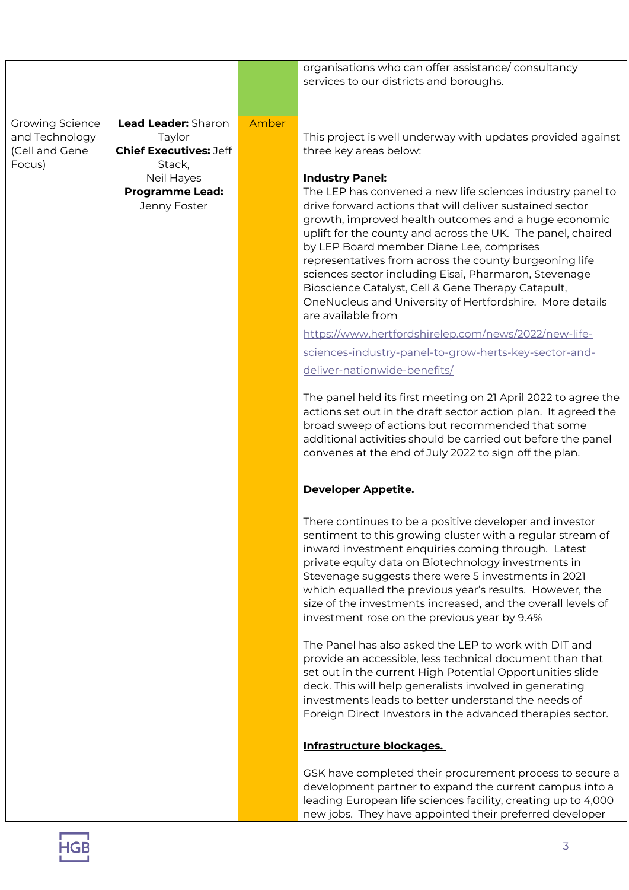|                                                                      |                                                                                                                                  |       | organisations who can offer assistance/consultancy<br>services to our districts and boroughs.                                                                                                                                                                                                                                                                                                                                                                                                                                                                                                                                                                                                                                   |
|----------------------------------------------------------------------|----------------------------------------------------------------------------------------------------------------------------------|-------|---------------------------------------------------------------------------------------------------------------------------------------------------------------------------------------------------------------------------------------------------------------------------------------------------------------------------------------------------------------------------------------------------------------------------------------------------------------------------------------------------------------------------------------------------------------------------------------------------------------------------------------------------------------------------------------------------------------------------------|
| <b>Growing Science</b><br>and Technology<br>(Cell and Gene<br>Focus) | Lead Leader: Sharon<br>Taylor<br><b>Chief Executives: Jeff</b><br>Stack,<br>Neil Hayes<br><b>Programme Lead:</b><br>Jenny Foster | Amber | This project is well underway with updates provided against<br>three key areas below:<br><b>Industry Panel:</b><br>The LEP has convened a new life sciences industry panel to<br>drive forward actions that will deliver sustained sector<br>growth, improved health outcomes and a huge economic<br>uplift for the county and across the UK. The panel, chaired<br>by LEP Board member Diane Lee, comprises<br>representatives from across the county burgeoning life<br>sciences sector including Eisai, Pharmaron, Stevenage<br>Bioscience Catalyst, Cell & Gene Therapy Catapult,<br>OneNucleus and University of Hertfordshire. More details<br>are available from<br>https://www.hertfordshirelep.com/news/2022/new-life- |
|                                                                      |                                                                                                                                  |       | sciences-industry-panel-to-grow-herts-key-sector-and-<br>deliver-nationwide-benefits/<br>The panel held its first meeting on 21 April 2022 to agree the<br>actions set out in the draft sector action plan. It agreed the<br>broad sweep of actions but recommended that some<br>additional activities should be carried out before the panel<br>convenes at the end of July 2022 to sign off the plan.                                                                                                                                                                                                                                                                                                                         |
|                                                                      |                                                                                                                                  |       | Developer Appetite.                                                                                                                                                                                                                                                                                                                                                                                                                                                                                                                                                                                                                                                                                                             |
|                                                                      |                                                                                                                                  |       | There continues to be a positive developer and investor<br>sentiment to this growing cluster with a regular stream of<br>inward investment enquiries coming through. Latest<br>private equity data on Biotechnology investments in<br>Stevenage suggests there were 5 investments in 2021<br>which equalled the previous year's results. However, the<br>size of the investments increased, and the overall levels of<br>investment rose on the previous year by 9.4%                                                                                                                                                                                                                                                           |
|                                                                      |                                                                                                                                  |       | The Panel has also asked the LEP to work with DIT and<br>provide an accessible, less technical document than that<br>set out in the current High Potential Opportunities slide<br>deck. This will help generalists involved in generating<br>investments leads to better understand the needs of<br>Foreign Direct Investors in the advanced therapies sector.                                                                                                                                                                                                                                                                                                                                                                  |
|                                                                      |                                                                                                                                  |       | Infrastructure blockages.                                                                                                                                                                                                                                                                                                                                                                                                                                                                                                                                                                                                                                                                                                       |
|                                                                      |                                                                                                                                  |       | GSK have completed their procurement process to secure a<br>development partner to expand the current campus into a<br>leading European life sciences facility, creating up to 4,000<br>new jobs. They have appointed their preferred developer                                                                                                                                                                                                                                                                                                                                                                                                                                                                                 |

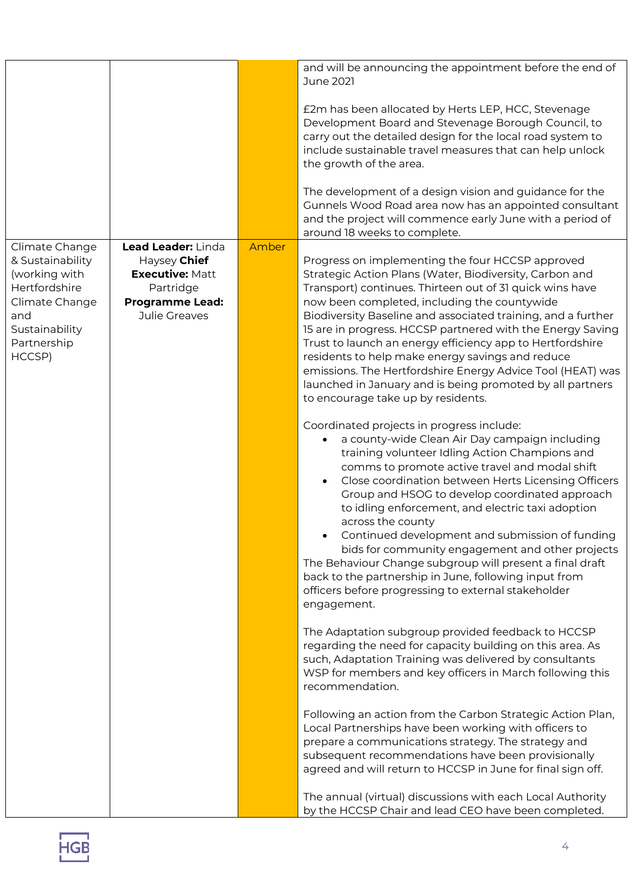|                                                                                                                                          |                                                                                                                      |       | and will be announcing the appointment before the end of<br><b>June 2021</b>                                                                                                                                                                                                                                                                                                                                                                                                                                                                                                                                                                                                                                                                                                                                                                                                                                                                                                                                                                                                                                                                                                                                                                                                                                                                                                                                                                                                                                                                                                                       |
|------------------------------------------------------------------------------------------------------------------------------------------|----------------------------------------------------------------------------------------------------------------------|-------|----------------------------------------------------------------------------------------------------------------------------------------------------------------------------------------------------------------------------------------------------------------------------------------------------------------------------------------------------------------------------------------------------------------------------------------------------------------------------------------------------------------------------------------------------------------------------------------------------------------------------------------------------------------------------------------------------------------------------------------------------------------------------------------------------------------------------------------------------------------------------------------------------------------------------------------------------------------------------------------------------------------------------------------------------------------------------------------------------------------------------------------------------------------------------------------------------------------------------------------------------------------------------------------------------------------------------------------------------------------------------------------------------------------------------------------------------------------------------------------------------------------------------------------------------------------------------------------------------|
|                                                                                                                                          |                                                                                                                      |       | £2m has been allocated by Herts LEP, HCC, Stevenage<br>Development Board and Stevenage Borough Council, to<br>carry out the detailed design for the local road system to<br>include sustainable travel measures that can help unlock<br>the growth of the area.                                                                                                                                                                                                                                                                                                                                                                                                                                                                                                                                                                                                                                                                                                                                                                                                                                                                                                                                                                                                                                                                                                                                                                                                                                                                                                                                    |
|                                                                                                                                          |                                                                                                                      |       | The development of a design vision and guidance for the<br>Gunnels Wood Road area now has an appointed consultant<br>and the project will commence early June with a period of<br>around 18 weeks to complete.                                                                                                                                                                                                                                                                                                                                                                                                                                                                                                                                                                                                                                                                                                                                                                                                                                                                                                                                                                                                                                                                                                                                                                                                                                                                                                                                                                                     |
| Climate Change<br>& Sustainability<br>(working with<br>Hertfordshire<br>Climate Change<br>and<br>Sustainability<br>Partnership<br>HCCSP) | Lead Leader: Linda<br>Haysey Chief<br><b>Executive: Matt</b><br>Partridge<br><b>Programme Lead:</b><br>Julie Greaves | Amber | Progress on implementing the four HCCSP approved<br>Strategic Action Plans (Water, Biodiversity, Carbon and<br>Transport) continues. Thirteen out of 31 quick wins have<br>now been completed, including the countywide<br>Biodiversity Baseline and associated training, and a further<br>15 are in progress. HCCSP partnered with the Energy Saving<br>Trust to launch an energy efficiency app to Hertfordshire<br>residents to help make energy savings and reduce<br>emissions. The Hertfordshire Energy Advice Tool (HEAT) was<br>launched in January and is being promoted by all partners<br>to encourage take up by residents.<br>Coordinated projects in progress include:<br>a county-wide Clean Air Day campaign including<br>$\bullet$<br>training volunteer Idling Action Champions and<br>comms to promote active travel and modal shift<br>Close coordination between Herts Licensing Officers<br>$\bullet$<br>Group and HSOG to develop coordinated approach<br>to idling enforcement, and electric taxi adoption<br>across the county<br>Continued development and submission of funding<br>bids for community engagement and other projects<br>The Behaviour Change subgroup will present a final draft<br>back to the partnership in June, following input from<br>officers before progressing to external stakeholder<br>engagement.<br>The Adaptation subgroup provided feedback to HCCSP<br>regarding the need for capacity building on this area. As<br>such, Adaptation Training was delivered by consultants<br>WSP for members and key officers in March following this |
|                                                                                                                                          |                                                                                                                      |       | recommendation.<br>Following an action from the Carbon Strategic Action Plan,<br>Local Partnerships have been working with officers to<br>prepare a communications strategy. The strategy and<br>subsequent recommendations have been provisionally<br>agreed and will return to HCCSP in June for final sign off.<br>The annual (virtual) discussions with each Local Authority<br>by the HCCSP Chair and lead CEO have been completed.                                                                                                                                                                                                                                                                                                                                                                                                                                                                                                                                                                                                                                                                                                                                                                                                                                                                                                                                                                                                                                                                                                                                                           |

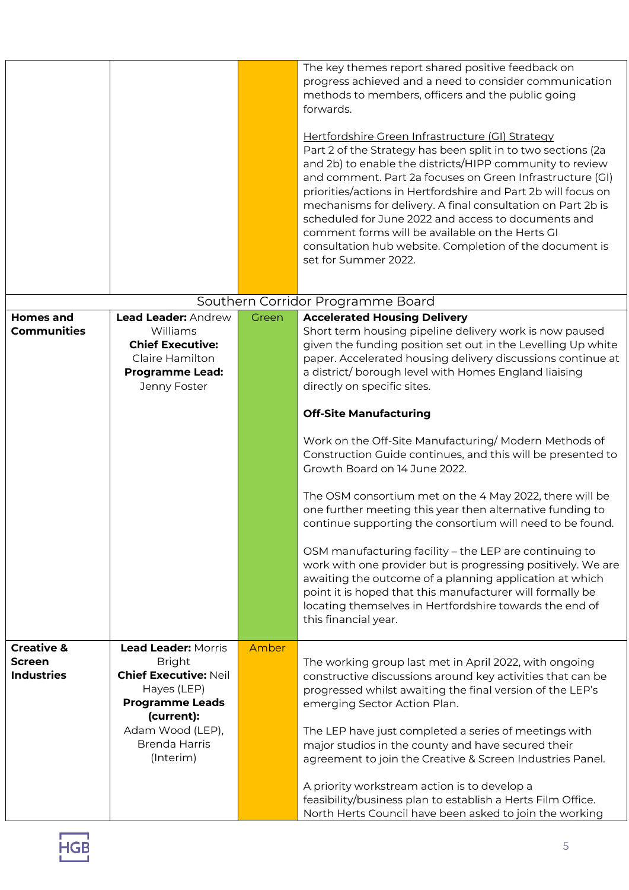|                       |                                |       | The key themes report shared positive feedback on<br>progress achieved and a need to consider communication<br>methods to members, officers and the public going<br>forwards.<br>Hertfordshire Green Infrastructure (GI) Strategy<br>Part 2 of the Strategy has been split in to two sections (2a<br>and 2b) to enable the districts/HIPP community to review<br>and comment. Part 2a focuses on Green Infrastructure (GI)<br>priorities/actions in Hertfordshire and Part 2b will focus on<br>mechanisms for delivery. A final consultation on Part 2b is<br>scheduled for June 2022 and access to documents and<br>comment forms will be available on the Herts GI<br>consultation hub website. Completion of the document is<br>set for Summer 2022. |
|-----------------------|--------------------------------|-------|---------------------------------------------------------------------------------------------------------------------------------------------------------------------------------------------------------------------------------------------------------------------------------------------------------------------------------------------------------------------------------------------------------------------------------------------------------------------------------------------------------------------------------------------------------------------------------------------------------------------------------------------------------------------------------------------------------------------------------------------------------|
|                       |                                |       |                                                                                                                                                                                                                                                                                                                                                                                                                                                                                                                                                                                                                                                                                                                                                         |
|                       |                                |       | Southern Corridor Programme Board                                                                                                                                                                                                                                                                                                                                                                                                                                                                                                                                                                                                                                                                                                                       |
| <b>Homes and</b>      | Lead Leader: Andrew            | Green | <b>Accelerated Housing Delivery</b>                                                                                                                                                                                                                                                                                                                                                                                                                                                                                                                                                                                                                                                                                                                     |
| <b>Communities</b>    | Williams                       |       | Short term housing pipeline delivery work is now paused                                                                                                                                                                                                                                                                                                                                                                                                                                                                                                                                                                                                                                                                                                 |
|                       | <b>Chief Executive:</b>        |       | given the funding position set out in the Levelling Up white                                                                                                                                                                                                                                                                                                                                                                                                                                                                                                                                                                                                                                                                                            |
|                       | Claire Hamilton                |       | paper. Accelerated housing delivery discussions continue at                                                                                                                                                                                                                                                                                                                                                                                                                                                                                                                                                                                                                                                                                             |
|                       | <b>Programme Lead:</b>         |       | a district/borough level with Homes England liaising                                                                                                                                                                                                                                                                                                                                                                                                                                                                                                                                                                                                                                                                                                    |
|                       | Jenny Foster                   |       | directly on specific sites.                                                                                                                                                                                                                                                                                                                                                                                                                                                                                                                                                                                                                                                                                                                             |
|                       |                                |       | <b>Off-Site Manufacturing</b>                                                                                                                                                                                                                                                                                                                                                                                                                                                                                                                                                                                                                                                                                                                           |
|                       |                                |       | Work on the Off-Site Manufacturing/ Modern Methods of<br>Construction Guide continues, and this will be presented to<br>Growth Board on 14 June 2022.                                                                                                                                                                                                                                                                                                                                                                                                                                                                                                                                                                                                   |
|                       |                                |       | The OSM consortium met on the 4 May 2022, there will be<br>one further meeting this year then alternative funding to<br>continue supporting the consortium will need to be found.                                                                                                                                                                                                                                                                                                                                                                                                                                                                                                                                                                       |
|                       |                                |       | OSM manufacturing facility - the LEP are continuing to<br>work with one provider but is progressing positively. We are<br>awaiting the outcome of a planning application at which<br>point it is hoped that this manufacturer will formally be<br>locating themselves in Hertfordshire towards the end of<br>this financial year.                                                                                                                                                                                                                                                                                                                                                                                                                       |
| <b>Creative &amp;</b> | <b>Lead Leader: Morris</b>     | Amber |                                                                                                                                                                                                                                                                                                                                                                                                                                                                                                                                                                                                                                                                                                                                                         |
| <b>Screen</b>         | <b>Bright</b>                  |       | The working group last met in April 2022, with ongoing                                                                                                                                                                                                                                                                                                                                                                                                                                                                                                                                                                                                                                                                                                  |
| <b>Industries</b>     | <b>Chief Executive: Neil</b>   |       | constructive discussions around key activities that can be                                                                                                                                                                                                                                                                                                                                                                                                                                                                                                                                                                                                                                                                                              |
|                       | Hayes (LEP)                    |       | progressed whilst awaiting the final version of the LEP's                                                                                                                                                                                                                                                                                                                                                                                                                                                                                                                                                                                                                                                                                               |
|                       | <b>Programme Leads</b>         |       | emerging Sector Action Plan.                                                                                                                                                                                                                                                                                                                                                                                                                                                                                                                                                                                                                                                                                                                            |
|                       | (current):<br>Adam Wood (LEP), |       |                                                                                                                                                                                                                                                                                                                                                                                                                                                                                                                                                                                                                                                                                                                                                         |
|                       | <b>Brenda Harris</b>           |       | The LEP have just completed a series of meetings with                                                                                                                                                                                                                                                                                                                                                                                                                                                                                                                                                                                                                                                                                                   |
|                       | (Interim)                      |       | major studios in the county and have secured their<br>agreement to join the Creative & Screen Industries Panel.                                                                                                                                                                                                                                                                                                                                                                                                                                                                                                                                                                                                                                         |
|                       |                                |       |                                                                                                                                                                                                                                                                                                                                                                                                                                                                                                                                                                                                                                                                                                                                                         |
|                       |                                |       | A priority workstream action is to develop a<br>feasibility/business plan to establish a Herts Film Office.<br>North Herts Council have been asked to join the working                                                                                                                                                                                                                                                                                                                                                                                                                                                                                                                                                                                  |

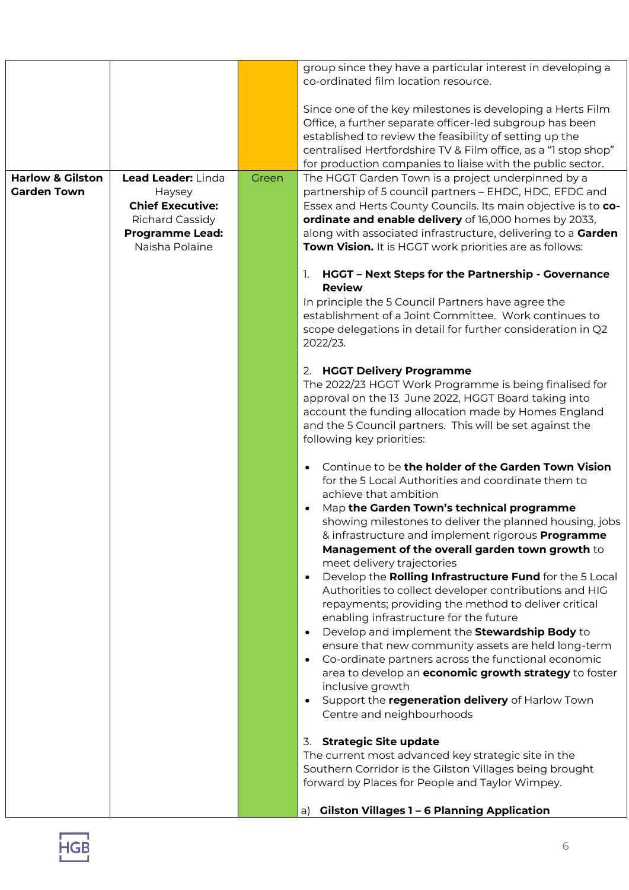|                             |                         |       | group since they have a particular interest in developing a<br>co-ordinated film location resource.                            |
|-----------------------------|-------------------------|-------|--------------------------------------------------------------------------------------------------------------------------------|
|                             |                         |       |                                                                                                                                |
|                             |                         |       | Since one of the key milestones is developing a Herts Film                                                                     |
|                             |                         |       | Office, a further separate officer-led subgroup has been                                                                       |
|                             |                         |       | established to review the feasibility of setting up the                                                                        |
|                             |                         |       | centralised Hertfordshire TV & Film office, as a "1 stop shop"                                                                 |
|                             |                         |       | for production companies to liaise with the public sector.                                                                     |
| <b>Harlow &amp; Gilston</b> | Lead Leader: Linda      | Green | The HGGT Garden Town is a project underpinned by a                                                                             |
| <b>Garden Town</b>          | Haysey                  |       | partnership of 5 council partners - EHDC, HDC, EFDC and                                                                        |
|                             | <b>Chief Executive:</b> |       | Essex and Herts County Councils. Its main objective is to co-                                                                  |
|                             | <b>Richard Cassidy</b>  |       | ordinate and enable delivery of 16,000 homes by 2033,                                                                          |
|                             | <b>Programme Lead:</b>  |       | along with associated infrastructure, delivering to a Garden                                                                   |
|                             | Naisha Polaine          |       | Town Vision. It is HGGT work priorities are as follows:                                                                        |
|                             |                         |       | HGGT - Next Steps for the Partnership - Governance<br>1.                                                                       |
|                             |                         |       | <b>Review</b>                                                                                                                  |
|                             |                         |       | In principle the 5 Council Partners have agree the                                                                             |
|                             |                         |       | establishment of a Joint Committee. Work continues to                                                                          |
|                             |                         |       | scope delegations in detail for further consideration in Q2                                                                    |
|                             |                         |       | 2022/23.                                                                                                                       |
|                             |                         |       | 2. HGGT Delivery Programme                                                                                                     |
|                             |                         |       | The 2022/23 HGGT Work Programme is being finalised for                                                                         |
|                             |                         |       | approval on the 13 June 2022, HGGT Board taking into                                                                           |
|                             |                         |       | account the funding allocation made by Homes England                                                                           |
|                             |                         |       | and the 5 Council partners. This will be set against the                                                                       |
|                             |                         |       | following key priorities:                                                                                                      |
|                             |                         |       | Continue to be the holder of the Garden Town Vision<br>$\bullet$                                                               |
|                             |                         |       | for the 5 Local Authorities and coordinate them to                                                                             |
|                             |                         |       | achieve that ambition                                                                                                          |
|                             |                         |       | Map the Garden Town's technical programme<br>$\bullet$                                                                         |
|                             |                         |       | showing milestones to deliver the planned housing, jobs                                                                        |
|                             |                         |       | & infrastructure and implement rigorous Programme                                                                              |
|                             |                         |       | Management of the overall garden town growth to                                                                                |
|                             |                         |       | meet delivery trajectories                                                                                                     |
|                             |                         |       | Develop the Rolling Infrastructure Fund for the 5 Local<br>$\bullet$<br>Authorities to collect developer contributions and HIG |
|                             |                         |       | repayments; providing the method to deliver critical                                                                           |
|                             |                         |       | enabling infrastructure for the future                                                                                         |
|                             |                         |       | Develop and implement the Stewardship Body to<br>$\bullet$                                                                     |
|                             |                         |       | ensure that new community assets are held long-term                                                                            |
|                             |                         |       | Co-ordinate partners across the functional economic<br>$\bullet$                                                               |
|                             |                         |       | area to develop an economic growth strategy to foster                                                                          |
|                             |                         |       | inclusive growth                                                                                                               |
|                             |                         |       | Support the regeneration delivery of Harlow Town<br>$\bullet$                                                                  |
|                             |                         |       | Centre and neighbourhoods                                                                                                      |
|                             |                         |       | <b>Strategic Site update</b><br>3.                                                                                             |
|                             |                         |       | The current most advanced key strategic site in the                                                                            |
|                             |                         |       | Southern Corridor is the Gilston Villages being brought                                                                        |
|                             |                         |       | forward by Places for People and Taylor Wimpey.                                                                                |
|                             |                         |       | <b>Gilston Villages 1 - 6 Planning Application</b><br>a)                                                                       |
|                             |                         |       |                                                                                                                                |

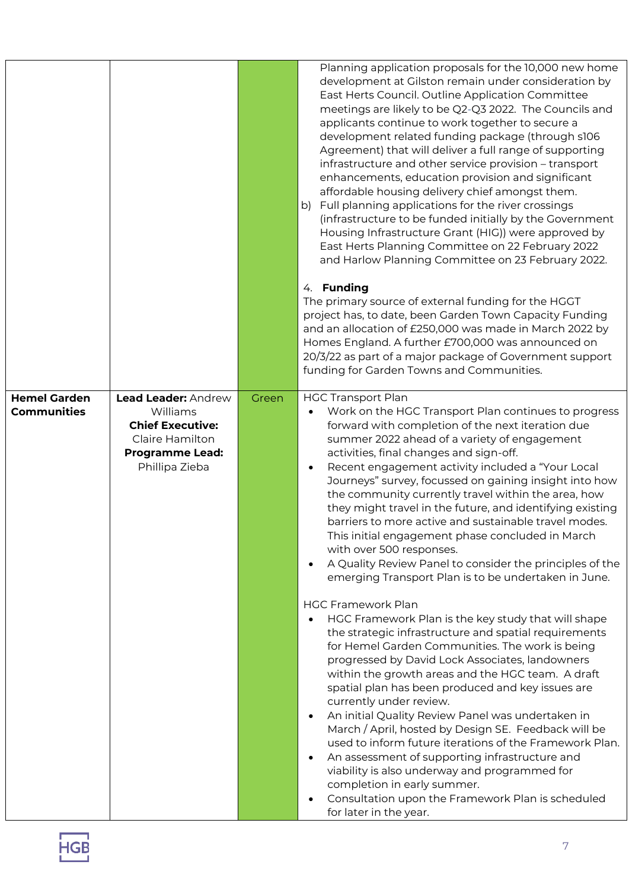|                                           |                                                                                                                           |       | Planning application proposals for the 10,000 new home<br>development at Gilston remain under consideration by<br>East Herts Council. Outline Application Committee<br>meetings are likely to be Q2-Q3 2022. The Councils and<br>applicants continue to work together to secure a<br>development related funding package (through s106<br>Agreement) that will deliver a full range of supporting<br>infrastructure and other service provision - transport<br>enhancements, education provision and significant<br>affordable housing delivery chief amongst them.<br>Full planning applications for the river crossings<br>b)<br>(infrastructure to be funded initially by the Government<br>Housing Infrastructure Grant (HIG)) were approved by<br>East Herts Planning Committee on 22 February 2022<br>and Harlow Planning Committee on 23 February 2022.                                                                                                                                                                                                                                                                                                                                                                                                   |
|-------------------------------------------|---------------------------------------------------------------------------------------------------------------------------|-------|------------------------------------------------------------------------------------------------------------------------------------------------------------------------------------------------------------------------------------------------------------------------------------------------------------------------------------------------------------------------------------------------------------------------------------------------------------------------------------------------------------------------------------------------------------------------------------------------------------------------------------------------------------------------------------------------------------------------------------------------------------------------------------------------------------------------------------------------------------------------------------------------------------------------------------------------------------------------------------------------------------------------------------------------------------------------------------------------------------------------------------------------------------------------------------------------------------------------------------------------------------------|
|                                           |                                                                                                                           |       | 4. Funding<br>The primary source of external funding for the HGGT<br>project has, to date, been Garden Town Capacity Funding<br>and an allocation of £250,000 was made in March 2022 by<br>Homes England. A further £700,000 was announced on<br>20/3/22 as part of a major package of Government support<br>funding for Garden Towns and Communities.                                                                                                                                                                                                                                                                                                                                                                                                                                                                                                                                                                                                                                                                                                                                                                                                                                                                                                           |
| <b>Hemel Garden</b><br><b>Communities</b> | Lead Leader: Andrew<br>Williams<br><b>Chief Executive:</b><br>Claire Hamilton<br><b>Programme Lead:</b><br>Phillipa Zieba | Green | <b>HGC Transport Plan</b><br>Work on the HGC Transport Plan continues to progress<br>forward with completion of the next iteration due<br>summer 2022 ahead of a variety of engagement<br>activities, final changes and sign-off.<br>Recent engagement activity included a "Your Local<br>Journeys" survey, focussed on gaining insight into how<br>the community currently travel within the area, how<br>they might travel in the future, and identifying existing<br>barriers to more active and sustainable travel modes.<br>This initial engagement phase concluded in March<br>with over 500 responses.<br>A Quality Review Panel to consider the principles of the<br>$\bullet$<br>emerging Transport Plan is to be undertaken in June.<br><b>HGC Framework Plan</b><br>HGC Framework Plan is the key study that will shape<br>the strategic infrastructure and spatial requirements<br>for Hemel Garden Communities. The work is being<br>progressed by David Lock Associates, landowners<br>within the growth areas and the HGC team. A draft<br>spatial plan has been produced and key issues are<br>currently under review.<br>An initial Quality Review Panel was undertaken in<br>$\bullet$<br>March / April, hosted by Design SE. Feedback will be |
|                                           |                                                                                                                           |       | used to inform future iterations of the Framework Plan.<br>An assessment of supporting infrastructure and<br>viability is also underway and programmed for<br>completion in early summer.<br>Consultation upon the Framework Plan is scheduled<br>for later in the year.                                                                                                                                                                                                                                                                                                                                                                                                                                                                                                                                                                                                                                                                                                                                                                                                                                                                                                                                                                                         |

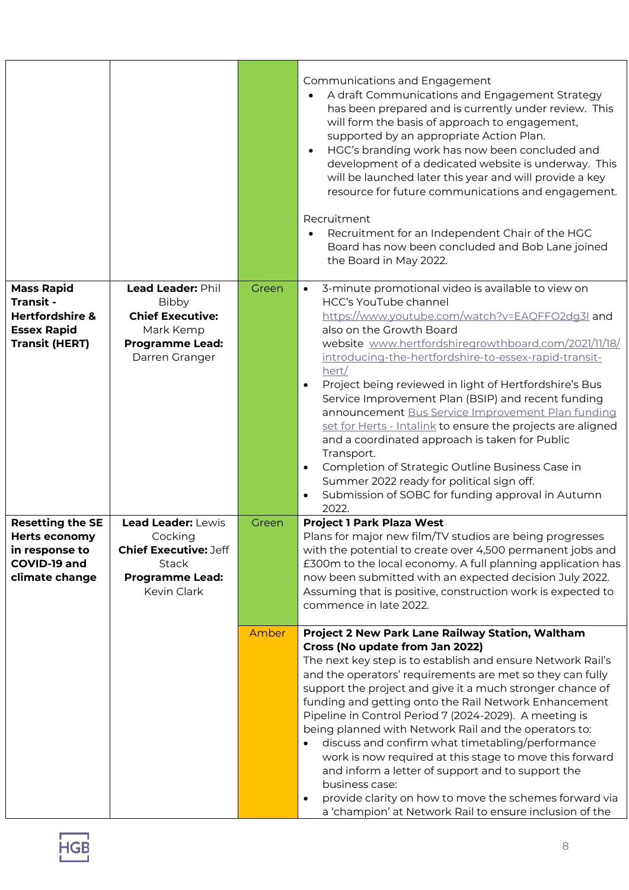|                                                                                                     |                                                                                                                        |       | Communications and Engagement<br>A draft Communications and Engagement Strategy<br>has been prepared and is currently under review. This<br>will form the basis of approach to engagement,<br>supported by an appropriate Action Plan.<br>HGC's branding work has now been concluded and<br>development of a dedicated website is underway. This<br>will be launched later this year and will provide a key<br>resource for future communications and engagement.<br>Recruitment<br>Recruitment for an Independent Chair of the HGC<br>Board has now been concluded and Bob Lane joined<br>the Board in May 2022.                                                                                                                                                           |
|-----------------------------------------------------------------------------------------------------|------------------------------------------------------------------------------------------------------------------------|-------|-----------------------------------------------------------------------------------------------------------------------------------------------------------------------------------------------------------------------------------------------------------------------------------------------------------------------------------------------------------------------------------------------------------------------------------------------------------------------------------------------------------------------------------------------------------------------------------------------------------------------------------------------------------------------------------------------------------------------------------------------------------------------------|
| <b>Mass Rapid</b><br>Transit -<br>Hertfordshire &<br><b>Essex Rapid</b><br><b>Transit (HERT)</b>    | Lead Leader: Phil<br><b>Bibby</b><br><b>Chief Executive:</b><br>Mark Kemp<br><b>Programme Lead:</b><br>Darren Granger  | Green | 3-minute promotional video is available to view on<br>$\bullet$<br><b>HCC's YouTube channel</b><br>https://www.youtube.com/watch?v=EAQFFO2dg3I and<br>also on the Growth Board<br>website www.hertfordshiregrowthboard.com/2021/11/18/<br>introducing-the-hertfordshire-to-essex-rapid-transit-<br>hert/<br>Project being reviewed in light of Hertfordshire's Bus<br>Service Improvement Plan (BSIP) and recent funding<br>announcement Bus Service Improvement Plan funding<br>set for Herts - Intalink to ensure the projects are aligned<br>and a coordinated approach is taken for Public<br>Transport.<br>Completion of Strategic Outline Business Case in<br>Summer 2022 ready for political sign off.<br>Submission of SOBC for funding approval in Autumn<br>2022. |
| <b>Resetting the SE</b><br><b>Herts economy</b><br>in response to<br>COVID-19 and<br>climate change | Lead Leader: Lewis<br>Cocking<br><b>Chief Executive: Jeff</b><br><b>Stack</b><br><b>Programme Lead:</b><br>Kevin Clark | Green | <b>Project 1 Park Plaza West</b><br>Plans for major new film/TV studios are being progresses<br>with the potential to create over 4,500 permanent jobs and<br>£300m to the local economy. A full planning application has<br>now been submitted with an expected decision July 2022.<br>Assuming that is positive, construction work is expected to<br>commence in late 2022.                                                                                                                                                                                                                                                                                                                                                                                               |
|                                                                                                     |                                                                                                                        | Amber | Project 2 New Park Lane Railway Station, Waltham<br>Cross (No update from Jan 2022)<br>The next key step is to establish and ensure Network Rail's<br>and the operators' requirements are met so they can fully<br>support the project and give it a much stronger chance of<br>funding and getting onto the Rail Network Enhancement<br>Pipeline in Control Period 7 (2024-2029). A meeting is<br>being planned with Network Rail and the operators to:<br>discuss and confirm what timetabling/performance<br>work is now required at this stage to move this forward<br>and inform a letter of support and to support the<br>business case:<br>provide clarity on how to move the schemes forward via<br>a 'champion' at Network Rail to ensure inclusion of the         |

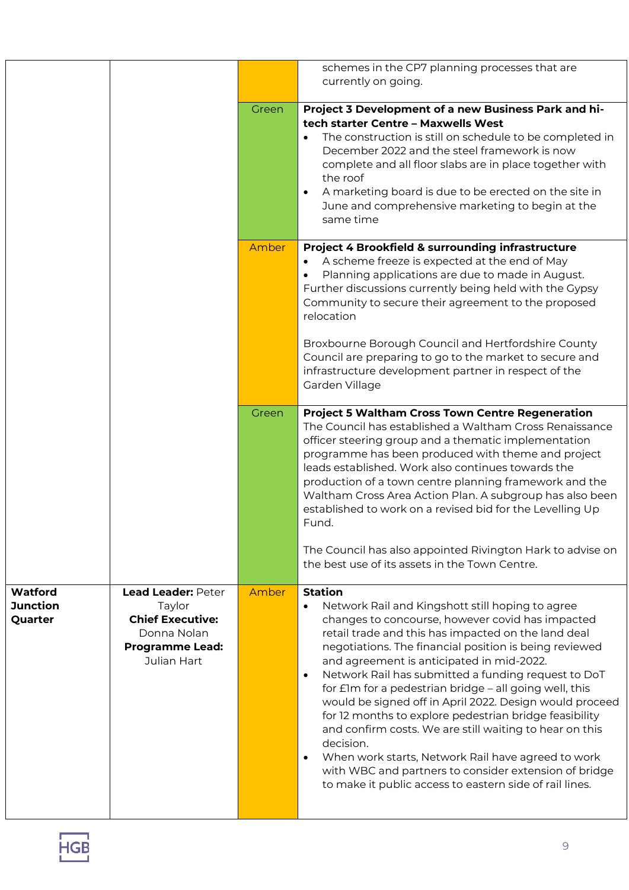|                                       |                                                                                                                 |       | schemes in the CP7 planning processes that are<br>currently on going.                                                                                                                                                                                                                                                                                                                                                                                                                                                                                                                                                                                                                                                                                                                                  |
|---------------------------------------|-----------------------------------------------------------------------------------------------------------------|-------|--------------------------------------------------------------------------------------------------------------------------------------------------------------------------------------------------------------------------------------------------------------------------------------------------------------------------------------------------------------------------------------------------------------------------------------------------------------------------------------------------------------------------------------------------------------------------------------------------------------------------------------------------------------------------------------------------------------------------------------------------------------------------------------------------------|
|                                       |                                                                                                                 | Green | Project 3 Development of a new Business Park and hi-<br>tech starter Centre - Maxwells West<br>The construction is still on schedule to be completed in<br>$\bullet$<br>December 2022 and the steel framework is now<br>complete and all floor slabs are in place together with<br>the roof<br>A marketing board is due to be erected on the site in<br>June and comprehensive marketing to begin at the<br>same time                                                                                                                                                                                                                                                                                                                                                                                  |
|                                       |                                                                                                                 | Amber | Project 4 Brookfield & surrounding infrastructure<br>A scheme freeze is expected at the end of May<br>Planning applications are due to made in August.<br>Further discussions currently being held with the Gypsy<br>Community to secure their agreement to the proposed<br>relocation<br>Broxbourne Borough Council and Hertfordshire County<br>Council are preparing to go to the market to secure and<br>infrastructure development partner in respect of the<br>Garden Village                                                                                                                                                                                                                                                                                                                     |
|                                       |                                                                                                                 | Green | <b>Project 5 Waltham Cross Town Centre Regeneration</b><br>The Council has established a Waltham Cross Renaissance<br>officer steering group and a thematic implementation<br>programme has been produced with theme and project<br>leads established. Work also continues towards the<br>production of a town centre planning framework and the<br>Waltham Cross Area Action Plan. A subgroup has also been<br>established to work on a revised bid for the Levelling Up<br>Fund.<br>The Council has also appointed Rivington Hark to advise on<br>the best use of its assets in the Town Centre.                                                                                                                                                                                                     |
| Watford<br><b>Junction</b><br>Quarter | Lead Leader: Peter<br>Taylor<br><b>Chief Executive:</b><br>Donna Nolan<br><b>Programme Lead:</b><br>Julian Hart | Amber | <b>Station</b><br>Network Rail and Kingshott still hoping to agree<br>changes to concourse, however covid has impacted<br>retail trade and this has impacted on the land deal<br>negotiations. The financial position is being reviewed<br>and agreement is anticipated in mid-2022.<br>Network Rail has submitted a funding request to DoT<br>$\bullet$<br>for £1m for a pedestrian bridge – all going well, this<br>would be signed off in April 2022. Design would proceed<br>for 12 months to explore pedestrian bridge feasibility<br>and confirm costs. We are still waiting to hear on this<br>decision.<br>When work starts, Network Rail have agreed to work<br>$\bullet$<br>with WBC and partners to consider extension of bridge<br>to make it public access to eastern side of rail lines. |